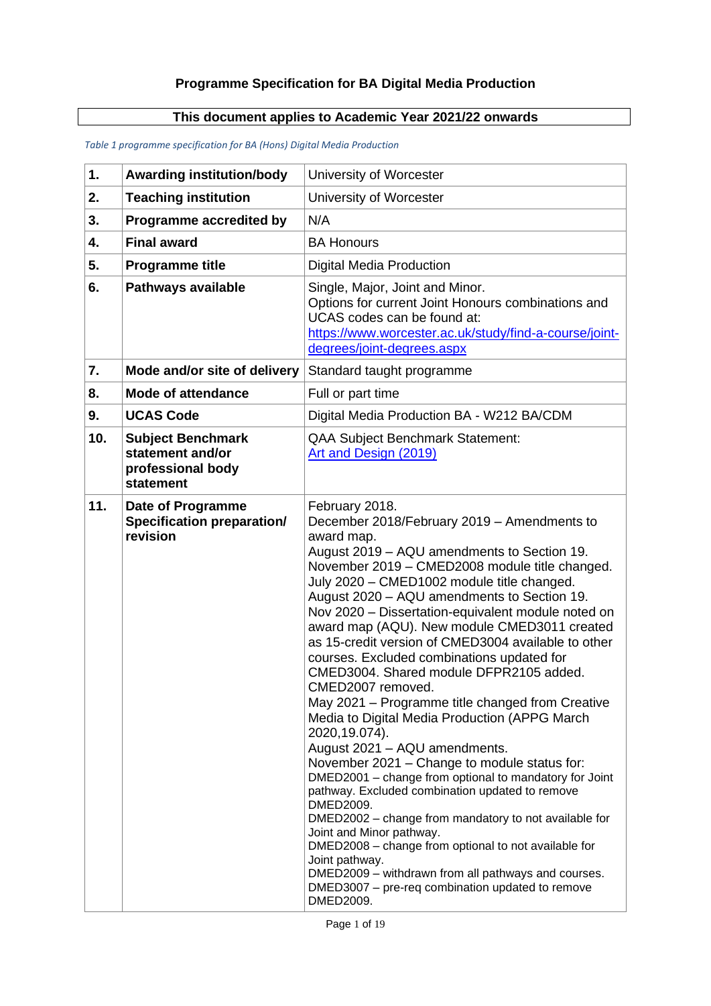# **Programme Specification for BA Digital Media Production**

# **This document applies to Academic Year 2021/22 onwards**

| 1.  | <b>Awarding institution/body</b>                                               | University of Worcester                                                                                                                                                                                                                                                                                                                                                                                                                                                                                                                                                                                                                                                                                                                                                                                                                                                                                                                                                                                                                                                                                                                                                       |
|-----|--------------------------------------------------------------------------------|-------------------------------------------------------------------------------------------------------------------------------------------------------------------------------------------------------------------------------------------------------------------------------------------------------------------------------------------------------------------------------------------------------------------------------------------------------------------------------------------------------------------------------------------------------------------------------------------------------------------------------------------------------------------------------------------------------------------------------------------------------------------------------------------------------------------------------------------------------------------------------------------------------------------------------------------------------------------------------------------------------------------------------------------------------------------------------------------------------------------------------------------------------------------------------|
| 2.  | <b>Teaching institution</b>                                                    | University of Worcester                                                                                                                                                                                                                                                                                                                                                                                                                                                                                                                                                                                                                                                                                                                                                                                                                                                                                                                                                                                                                                                                                                                                                       |
| 3.  | Programme accredited by                                                        | N/A                                                                                                                                                                                                                                                                                                                                                                                                                                                                                                                                                                                                                                                                                                                                                                                                                                                                                                                                                                                                                                                                                                                                                                           |
| 4.  | <b>Final award</b>                                                             | <b>BA Honours</b>                                                                                                                                                                                                                                                                                                                                                                                                                                                                                                                                                                                                                                                                                                                                                                                                                                                                                                                                                                                                                                                                                                                                                             |
| 5.  | <b>Programme title</b>                                                         | <b>Digital Media Production</b>                                                                                                                                                                                                                                                                                                                                                                                                                                                                                                                                                                                                                                                                                                                                                                                                                                                                                                                                                                                                                                                                                                                                               |
| 6.  | Pathways available                                                             | Single, Major, Joint and Minor.<br>Options for current Joint Honours combinations and<br>UCAS codes can be found at:<br>https://www.worcester.ac.uk/study/find-a-course/joint-<br>degrees/joint-degrees.aspx                                                                                                                                                                                                                                                                                                                                                                                                                                                                                                                                                                                                                                                                                                                                                                                                                                                                                                                                                                  |
| 7.  | Mode and/or site of delivery                                                   | Standard taught programme                                                                                                                                                                                                                                                                                                                                                                                                                                                                                                                                                                                                                                                                                                                                                                                                                                                                                                                                                                                                                                                                                                                                                     |
| 8.  | <b>Mode of attendance</b>                                                      | Full or part time                                                                                                                                                                                                                                                                                                                                                                                                                                                                                                                                                                                                                                                                                                                                                                                                                                                                                                                                                                                                                                                                                                                                                             |
| 9.  | <b>UCAS Code</b>                                                               | Digital Media Production BA - W212 BA/CDM                                                                                                                                                                                                                                                                                                                                                                                                                                                                                                                                                                                                                                                                                                                                                                                                                                                                                                                                                                                                                                                                                                                                     |
| 10. | <b>Subject Benchmark</b><br>statement and/or<br>professional body<br>statement | <b>QAA Subject Benchmark Statement:</b><br>Art and Design (2019)                                                                                                                                                                                                                                                                                                                                                                                                                                                                                                                                                                                                                                                                                                                                                                                                                                                                                                                                                                                                                                                                                                              |
| 11. | Date of Programme<br><b>Specification preparation/</b><br>revision             | February 2018.<br>December 2018/February 2019 - Amendments to<br>award map.<br>August 2019 - AQU amendments to Section 19.<br>November 2019 - CMED2008 module title changed.<br>July 2020 - CMED1002 module title changed.<br>August 2020 - AQU amendments to Section 19.<br>Nov 2020 - Dissertation-equivalent module noted on<br>award map (AQU). New module CMED3011 created<br>as 15-credit version of CMED3004 available to other<br>courses. Excluded combinations updated for<br>CMED3004. Shared module DFPR2105 added.<br>CMED2007 removed.<br>May 2021 - Programme title changed from Creative<br>Media to Digital Media Production (APPG March<br>2020, 19.074).<br>August 2021 - AQU amendments.<br>November 2021 - Change to module status for:<br>DMED2001 - change from optional to mandatory for Joint<br>pathway. Excluded combination updated to remove<br>DMED2009.<br>DMED2002 - change from mandatory to not available for<br>Joint and Minor pathway.<br>DMED2008 - change from optional to not available for<br>Joint pathway.<br>DMED2009 - withdrawn from all pathways and courses.<br>DMED3007 - pre-req combination updated to remove<br>DMED2009. |

#### *Table 1 programme specification for BA (Hons) Digital Media Production*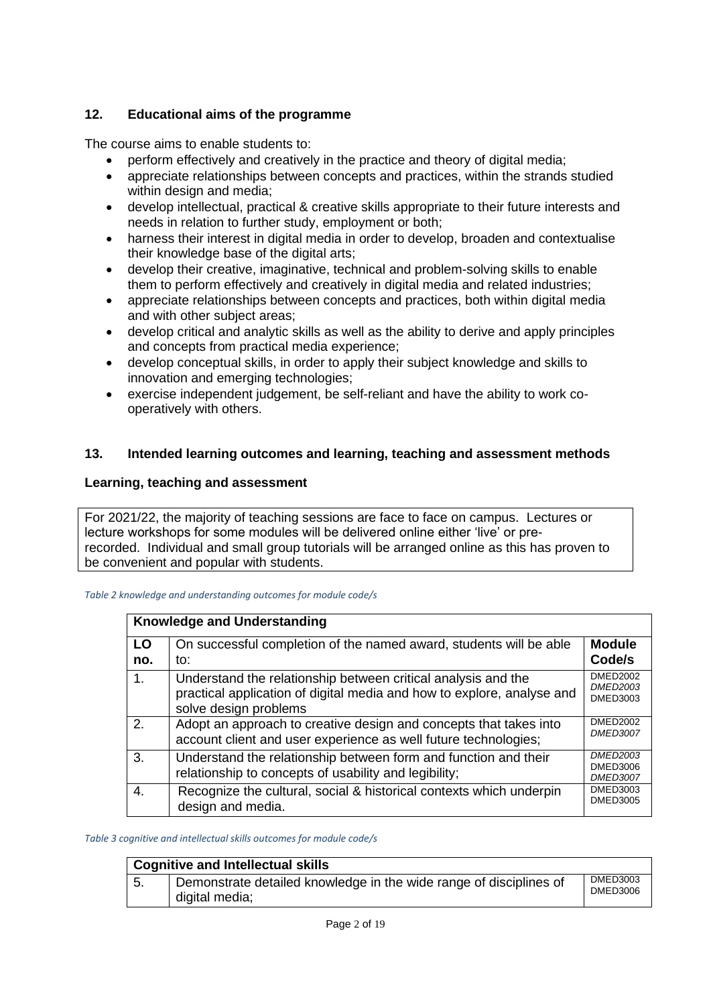# **12. Educational aims of the programme**

The course aims to enable students to:

- perform effectively and creatively in the practice and theory of digital media;
- appreciate relationships between concepts and practices, within the strands studied within design and media;
- develop intellectual, practical & creative skills appropriate to their future interests and needs in relation to further study, employment or both;
- harness their interest in digital media in order to develop, broaden and contextualise their knowledge base of the digital arts;
- develop their creative, imaginative, technical and problem-solving skills to enable them to perform effectively and creatively in digital media and related industries;
- appreciate relationships between concepts and practices, both within digital media and with other subject areas;
- develop critical and analytic skills as well as the ability to derive and apply principles and concepts from practical media experience;
- develop conceptual skills, in order to apply their subject knowledge and skills to innovation and emerging technologies;
- exercise independent judgement, be self-reliant and have the ability to work cooperatively with others.

# **13. Intended learning outcomes and learning, teaching and assessment methods**

## **Learning, teaching and assessment**

For 2021/22, the majority of teaching sessions are face to face on campus. Lectures or lecture workshops for some modules will be delivered online either 'live' or prerecorded. Individual and small group tutorials will be arranged online as this has proven to be convenient and popular with students.

#### *Table 2 knowledge and understanding outcomes for module code/s*

| <b>Knowledge and Understanding</b> |                                                                                                                                                                  |                                                       |  |  |  |  |
|------------------------------------|------------------------------------------------------------------------------------------------------------------------------------------------------------------|-------------------------------------------------------|--|--|--|--|
| LO<br>no.                          | On successful completion of the named award, students will be able<br>to:                                                                                        | <b>Module</b><br>Code/s                               |  |  |  |  |
| $\mathbf{1}$ .                     | Understand the relationship between critical analysis and the<br>practical application of digital media and how to explore, analyse and<br>solve design problems | <b>DMED2002</b><br><b>DMED2003</b><br><b>DMED3003</b> |  |  |  |  |
| 2.                                 | Adopt an approach to creative design and concepts that takes into<br>account client and user experience as well future technologies;                             | <b>DMED2002</b><br><b>DMED3007</b>                    |  |  |  |  |
| 3.                                 | Understand the relationship between form and function and their<br>relationship to concepts of usability and legibility;                                         | <b>DMED2003</b><br><b>DMED3006</b><br><b>DMED3007</b> |  |  |  |  |
| $\overline{4}$ .                   | Recognize the cultural, social & historical contexts which underpin<br>design and media.                                                                         | DMED3003<br><b>DMED3005</b>                           |  |  |  |  |

*Table 3 cognitive and intellectual skills outcomes for module code/s*

| <b>Cognitive and Intellectual skills</b> |                                                                                      |                      |  |  |  |
|------------------------------------------|--------------------------------------------------------------------------------------|----------------------|--|--|--|
|                                          | Demonstrate detailed knowledge in the wide range of disciplines of<br>digital media; | DMED3003<br>DMED3006 |  |  |  |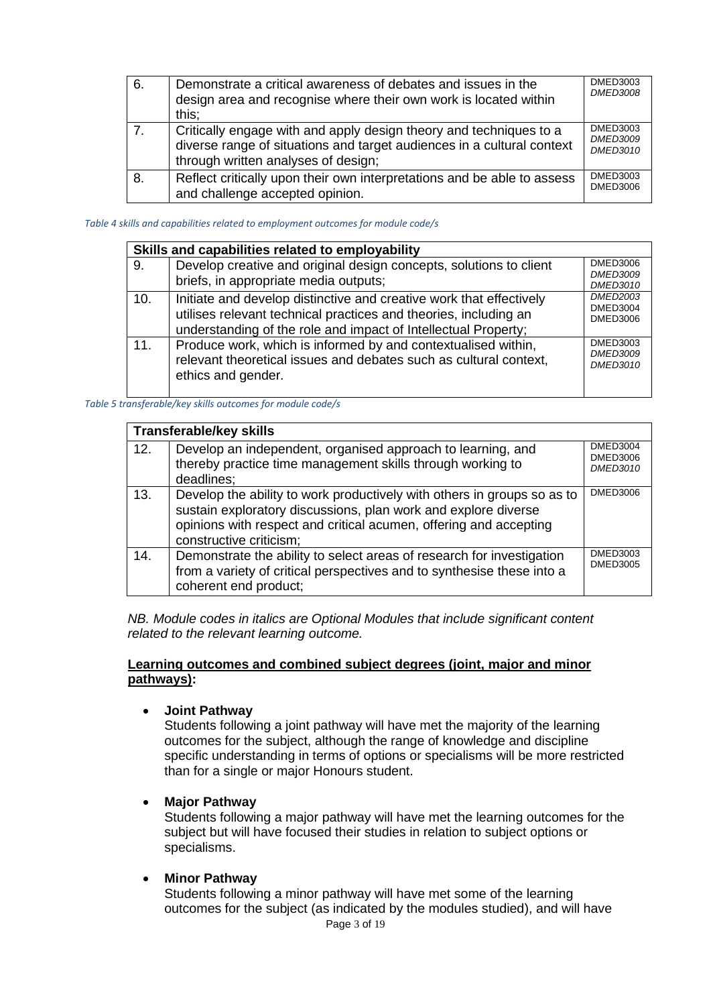| 6. | Demonstrate a critical awareness of debates and issues in the<br>design area and recognise where their own work is located within<br>this;                                          | DMED3003<br><b>DMED3008</b>                    |
|----|-------------------------------------------------------------------------------------------------------------------------------------------------------------------------------------|------------------------------------------------|
| 7. | Critically engage with and apply design theory and techniques to a<br>diverse range of situations and target audiences in a cultural context<br>through written analyses of design; | DMED3003<br><b>DMED3009</b><br><b>DMED3010</b> |
| 8. | Reflect critically upon their own interpretations and be able to assess<br>and challenge accepted opinion.                                                                          | DMED3003<br>DMED3006                           |

#### *Table 4 skills and capabilities related to employment outcomes for module code/s*

| Skills and capabilities related to employability |                                                                                                                                                                                                           |                                                       |  |  |  |  |
|--------------------------------------------------|-----------------------------------------------------------------------------------------------------------------------------------------------------------------------------------------------------------|-------------------------------------------------------|--|--|--|--|
| 9.                                               | Develop creative and original design concepts, solutions to client<br>briefs, in appropriate media outputs;                                                                                               | <b>DMED3006</b><br><b>DMED3009</b><br><b>DMED3010</b> |  |  |  |  |
| 10.                                              | Initiate and develop distinctive and creative work that effectively<br>utilises relevant technical practices and theories, including an<br>understanding of the role and impact of Intellectual Property; | <b>DMED2003</b><br><b>DMED3004</b><br><b>DMED3006</b> |  |  |  |  |
| 11.                                              | Produce work, which is informed by and contextualised within,<br>relevant theoretical issues and debates such as cultural context,<br>ethics and gender.                                                  | <b>DMED3003</b><br><b>DMED3009</b><br><b>DMED3010</b> |  |  |  |  |

*Table 5 transferable/key skills outcomes for module code/s*

| <b>Transferable/key skills</b> |                                                                                                                                                                                                                                           |                                                |  |  |  |  |
|--------------------------------|-------------------------------------------------------------------------------------------------------------------------------------------------------------------------------------------------------------------------------------------|------------------------------------------------|--|--|--|--|
| 12.                            | Develop an independent, organised approach to learning, and<br>thereby practice time management skills through working to<br>deadlines;                                                                                                   | DMED3004<br><b>DMED3006</b><br><b>DMED3010</b> |  |  |  |  |
| 13.                            | Develop the ability to work productively with others in groups so as to<br>sustain exploratory discussions, plan work and explore diverse<br>opinions with respect and critical acumen, offering and accepting<br>constructive criticism; | DMED3006                                       |  |  |  |  |
| 14.                            | Demonstrate the ability to select areas of research for investigation<br>from a variety of critical perspectives and to synthesise these into a<br>coherent end product;                                                                  | DMED3003<br><b>DMED3005</b>                    |  |  |  |  |

*NB. Module codes in italics are Optional Modules that include significant content related to the relevant learning outcome.*

#### **Learning outcomes and combined subject degrees (joint, major and minor pathways):**

• **Joint Pathway**

Students following a joint pathway will have met the majority of the learning outcomes for the subject, although the range of knowledge and discipline specific understanding in terms of options or specialisms will be more restricted than for a single or major Honours student.

#### • **Major Pathway**

Students following a major pathway will have met the learning outcomes for the subject but will have focused their studies in relation to subject options or specialisms.

#### • **Minor Pathway**

Students following a minor pathway will have met some of the learning outcomes for the subject (as indicated by the modules studied), and will have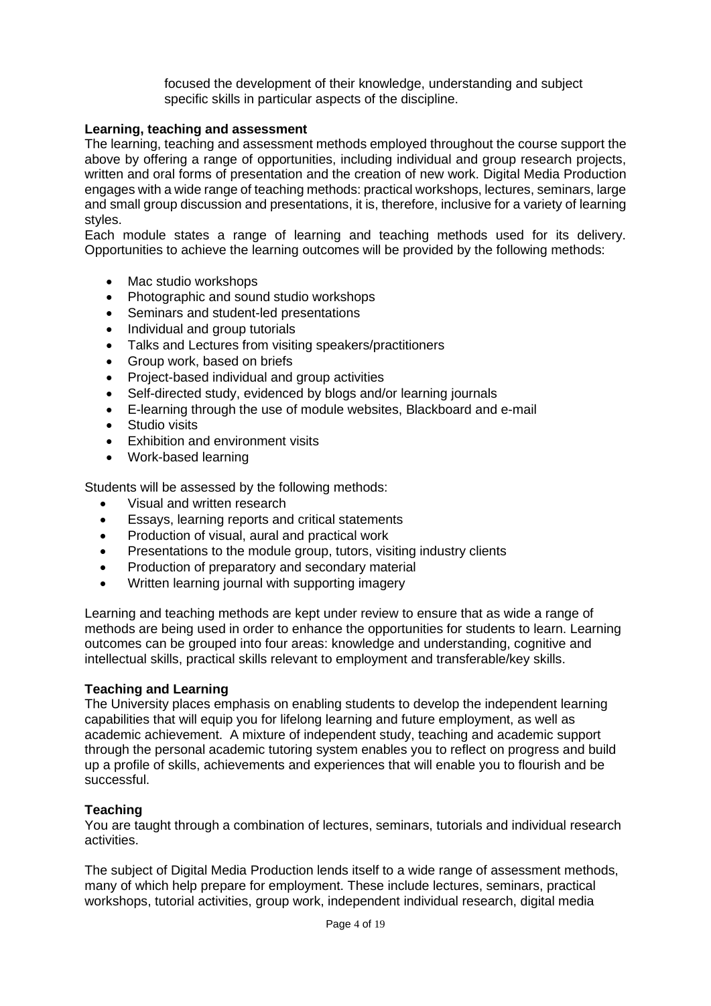focused the development of their knowledge, understanding and subject specific skills in particular aspects of the discipline.

## **Learning, teaching and assessment**

The learning, teaching and assessment methods employed throughout the course support the above by offering a range of opportunities, including individual and group research projects, written and oral forms of presentation and the creation of new work. Digital Media Production engages with a wide range of teaching methods: practical workshops, lectures, seminars, large and small group discussion and presentations, it is, therefore, inclusive for a variety of learning styles.

Each module states a range of learning and teaching methods used for its delivery. Opportunities to achieve the learning outcomes will be provided by the following methods:

- Mac studio workshops
- Photographic and sound studio workshops
- Seminars and student-led presentations
- Individual and group tutorials
- Talks and Lectures from visiting speakers/practitioners
- Group work, based on briefs
- Project-based individual and group activities
- Self-directed study, evidenced by blogs and/or learning journals
- E-learning through the use of module websites, Blackboard and e-mail
- Studio visits
- Exhibition and environment visits
- Work-based learning

Students will be assessed by the following methods:

- Visual and written research
- Essays, learning reports and critical statements
- Production of visual, aural and practical work
- Presentations to the module group, tutors, visiting industry clients
- Production of preparatory and secondary material
- Written learning journal with supporting imagery

Learning and teaching methods are kept under review to ensure that as wide a range of methods are being used in order to enhance the opportunities for students to learn. Learning outcomes can be grouped into four areas: knowledge and understanding, cognitive and intellectual skills, practical skills relevant to employment and transferable/key skills.

## **Teaching and Learning**

The University places emphasis on enabling students to develop the independent learning capabilities that will equip you for lifelong learning and future employment, as well as academic achievement. A mixture of independent study, teaching and academic support through the personal academic tutoring system enables you to reflect on progress and build up a profile of skills, achievements and experiences that will enable you to flourish and be successful.

## **Teaching**

You are taught through a combination of lectures, seminars, tutorials and individual research activities.

The subject of Digital Media Production lends itself to a wide range of assessment methods, many of which help prepare for employment. These include lectures, seminars, practical workshops, tutorial activities, group work, independent individual research, digital media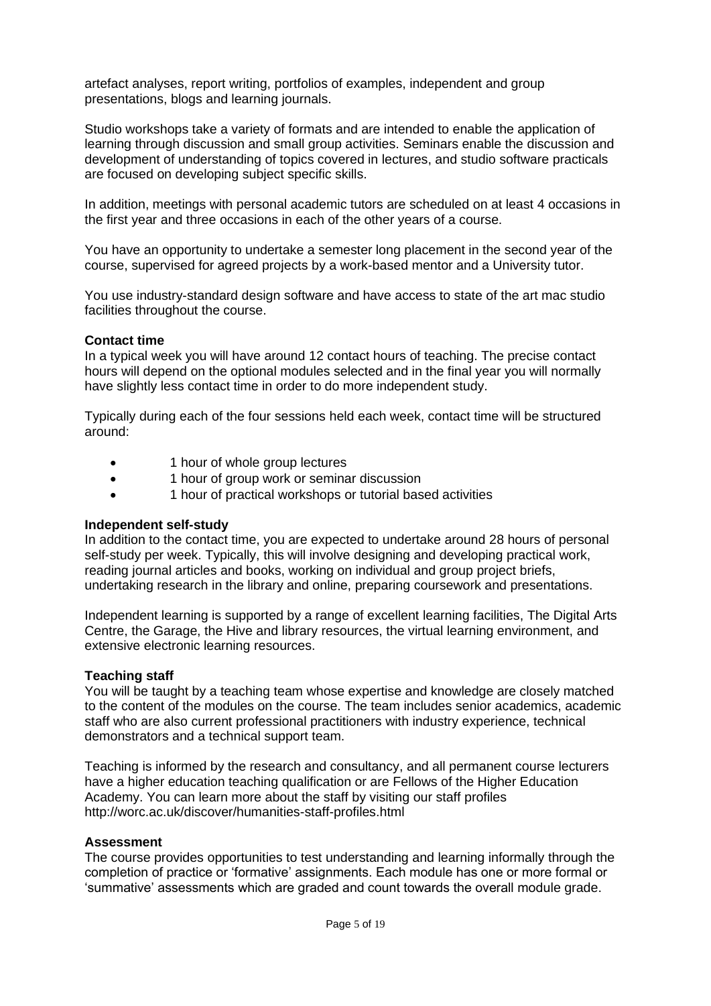artefact analyses, report writing, portfolios of examples, independent and group presentations, blogs and learning journals.

Studio workshops take a variety of formats and are intended to enable the application of learning through discussion and small group activities. Seminars enable the discussion and development of understanding of topics covered in lectures, and studio software practicals are focused on developing subject specific skills.

In addition, meetings with personal academic tutors are scheduled on at least 4 occasions in the first year and three occasions in each of the other years of a course.

You have an opportunity to undertake a semester long placement in the second year of the course, supervised for agreed projects by a work-based mentor and a University tutor.

You use industry-standard design software and have access to state of the art mac studio facilities throughout the course.

#### **Contact time**

In a typical week you will have around 12 contact hours of teaching. The precise contact hours will depend on the optional modules selected and in the final year you will normally have slightly less contact time in order to do more independent study.

Typically during each of the four sessions held each week, contact time will be structured around:

- 1 hour of whole group lectures
- 1 hour of group work or seminar discussion
- 1 hour of practical workshops or tutorial based activities

#### **Independent self-study**

In addition to the contact time, you are expected to undertake around 28 hours of personal self-study per week. Typically, this will involve designing and developing practical work, reading journal articles and books, working on individual and group project briefs, undertaking research in the library and online, preparing coursework and presentations.

Independent learning is supported by a range of excellent learning facilities, The Digital Arts Centre, the Garage, the Hive and library resources, the virtual learning environment, and extensive electronic learning resources.

#### **Teaching staff**

You will be taught by a teaching team whose expertise and knowledge are closely matched to the content of the modules on the course. The team includes senior academics, academic staff who are also current professional practitioners with industry experience, technical demonstrators and a technical support team.

Teaching is informed by the research and consultancy, and all permanent course lecturers have a higher education teaching qualification or are Fellows of the Higher Education Academy. You can learn more about the staff by visiting our staff profiles http://worc.ac.uk/discover/humanities-staff-profiles.html

#### **Assessment**

The course provides opportunities to test understanding and learning informally through the completion of practice or 'formative' assignments. Each module has one or more formal or 'summative' assessments which are graded and count towards the overall module grade.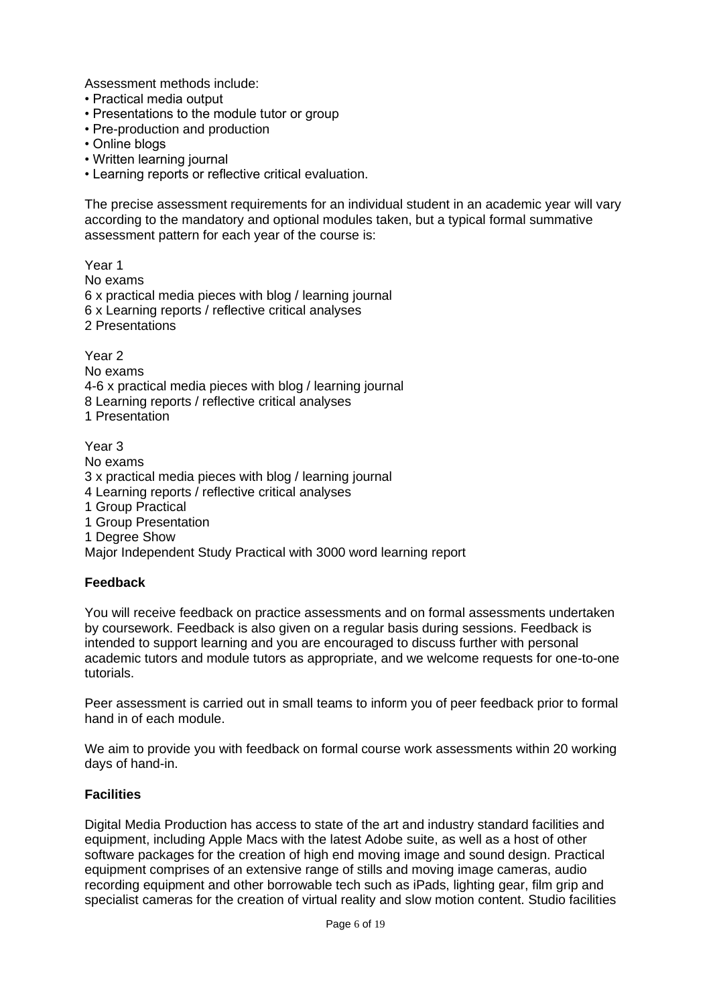Assessment methods include:

- Practical media output
- Presentations to the module tutor or group
- Pre-production and production
- Online blogs
- Written learning journal
- Learning reports or reflective critical evaluation.

The precise assessment requirements for an individual student in an academic year will vary according to the mandatory and optional modules taken, but a typical formal summative assessment pattern for each year of the course is:

Year 1 No exams 6 x practical media pieces with blog / learning journal 6 x Learning reports / reflective critical analyses 2 Presentations

Year 2 No exams 4-6 x practical media pieces with blog / learning journal 8 Learning reports / reflective critical analyses

1 Presentation

Year 3

No exams 3 x practical media pieces with blog / learning journal 4 Learning reports / reflective critical analyses 1 Group Practical 1 Group Presentation 1 Degree Show Major Independent Study Practical with 3000 word learning report

## **Feedback**

You will receive feedback on practice assessments and on formal assessments undertaken by coursework. Feedback is also given on a regular basis during sessions. Feedback is intended to support learning and you are encouraged to discuss further with personal academic tutors and module tutors as appropriate, and we welcome requests for one-to-one tutorials.

Peer assessment is carried out in small teams to inform you of peer feedback prior to formal hand in of each module.

We aim to provide you with feedback on formal course work assessments within 20 working days of hand-in.

## **Facilities**

Digital Media Production has access to state of the art and industry standard facilities and equipment, including Apple Macs with the latest Adobe suite, as well as a host of other software packages for the creation of high end moving image and sound design. Practical equipment comprises of an extensive range of stills and moving image cameras, audio recording equipment and other borrowable tech such as iPads, lighting gear, film grip and specialist cameras for the creation of virtual reality and slow motion content. Studio facilities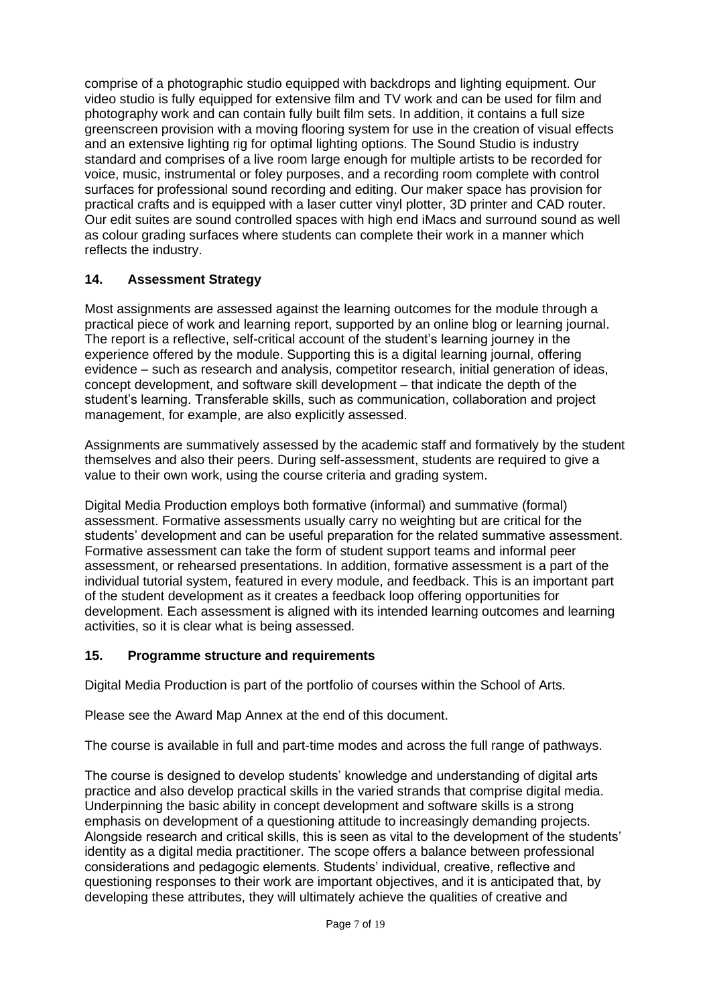comprise of a photographic studio equipped with backdrops and lighting equipment. Our video studio is fully equipped for extensive film and TV work and can be used for film and photography work and can contain fully built film sets. In addition, it contains a full size greenscreen provision with a moving flooring system for use in the creation of visual effects and an extensive lighting rig for optimal lighting options. The Sound Studio is industry standard and comprises of a live room large enough for multiple artists to be recorded for voice, music, instrumental or foley purposes, and a recording room complete with control surfaces for professional sound recording and editing. Our maker space has provision for practical crafts and is equipped with a laser cutter vinyl plotter, 3D printer and CAD router. Our edit suites are sound controlled spaces with high end iMacs and surround sound as well as colour grading surfaces where students can complete their work in a manner which reflects the industry.

# **14. Assessment Strategy**

Most assignments are assessed against the learning outcomes for the module through a practical piece of work and learning report, supported by an online blog or learning journal. The report is a reflective, self-critical account of the student's learning journey in the experience offered by the module. Supporting this is a digital learning journal, offering evidence – such as research and analysis, competitor research, initial generation of ideas, concept development, and software skill development – that indicate the depth of the student's learning. Transferable skills, such as communication, collaboration and project management, for example, are also explicitly assessed.

Assignments are summatively assessed by the academic staff and formatively by the student themselves and also their peers. During self-assessment, students are required to give a value to their own work, using the course criteria and grading system.

Digital Media Production employs both formative (informal) and summative (formal) assessment. Formative assessments usually carry no weighting but are critical for the students' development and can be useful preparation for the related summative assessment. Formative assessment can take the form of student support teams and informal peer assessment, or rehearsed presentations. In addition, formative assessment is a part of the individual tutorial system, featured in every module, and feedback. This is an important part of the student development as it creates a feedback loop offering opportunities for development. Each assessment is aligned with its intended learning outcomes and learning activities, so it is clear what is being assessed.

# **15. Programme structure and requirements**

Digital Media Production is part of the portfolio of courses within the School of Arts.

Please see the Award Map Annex at the end of this document.

The course is available in full and part-time modes and across the full range of pathways.

The course is designed to develop students' knowledge and understanding of digital arts practice and also develop practical skills in the varied strands that comprise digital media. Underpinning the basic ability in concept development and software skills is a strong emphasis on development of a questioning attitude to increasingly demanding projects. Alongside research and critical skills, this is seen as vital to the development of the students' identity as a digital media practitioner. The scope offers a balance between professional considerations and pedagogic elements. Students' individual, creative, reflective and questioning responses to their work are important objectives, and it is anticipated that, by developing these attributes, they will ultimately achieve the qualities of creative and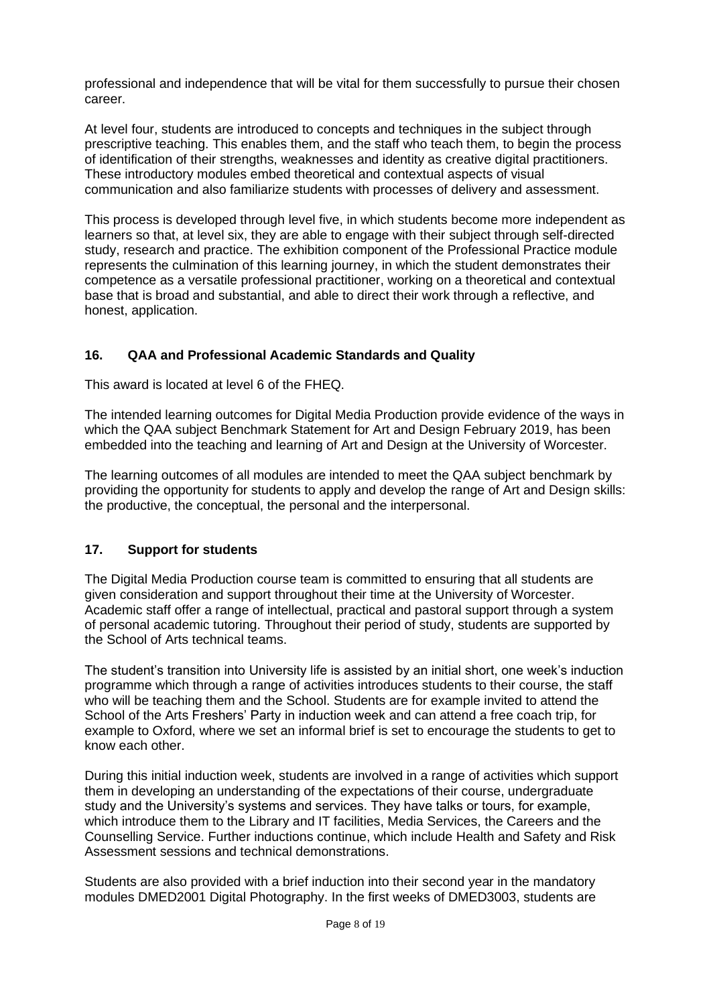professional and independence that will be vital for them successfully to pursue their chosen career.

At level four, students are introduced to concepts and techniques in the subject through prescriptive teaching. This enables them, and the staff who teach them, to begin the process of identification of their strengths, weaknesses and identity as creative digital practitioners. These introductory modules embed theoretical and contextual aspects of visual communication and also familiarize students with processes of delivery and assessment.

This process is developed through level five, in which students become more independent as learners so that, at level six, they are able to engage with their subject through self-directed study, research and practice. The exhibition component of the Professional Practice module represents the culmination of this learning journey, in which the student demonstrates their competence as a versatile professional practitioner, working on a theoretical and contextual base that is broad and substantial, and able to direct their work through a reflective, and honest, application.

# **16. QAA and Professional Academic Standards and Quality**

This award is located at level 6 of the FHEQ.

The intended learning outcomes for Digital Media Production provide evidence of the ways in which the QAA subject Benchmark Statement for Art and Design February 2019, has been embedded into the teaching and learning of Art and Design at the University of Worcester.

The learning outcomes of all modules are intended to meet the QAA subject benchmark by providing the opportunity for students to apply and develop the range of Art and Design skills: the productive, the conceptual, the personal and the interpersonal.

# **17. Support for students**

The Digital Media Production course team is committed to ensuring that all students are given consideration and support throughout their time at the University of Worcester. Academic staff offer a range of intellectual, practical and pastoral support through a system of personal academic tutoring. Throughout their period of study, students are supported by the School of Arts technical teams.

The student's transition into University life is assisted by an initial short, one week's induction programme which through a range of activities introduces students to their course, the staff who will be teaching them and the School. Students are for example invited to attend the School of the Arts Freshers' Party in induction week and can attend a free coach trip, for example to Oxford, where we set an informal brief is set to encourage the students to get to know each other.

During this initial induction week, students are involved in a range of activities which support them in developing an understanding of the expectations of their course, undergraduate study and the University's systems and services. They have talks or tours, for example, which introduce them to the Library and IT facilities, Media Services, the Careers and the Counselling Service. Further inductions continue, which include Health and Safety and Risk Assessment sessions and technical demonstrations.

Students are also provided with a brief induction into their second year in the mandatory modules DMED2001 Digital Photography. In the first weeks of DMED3003, students are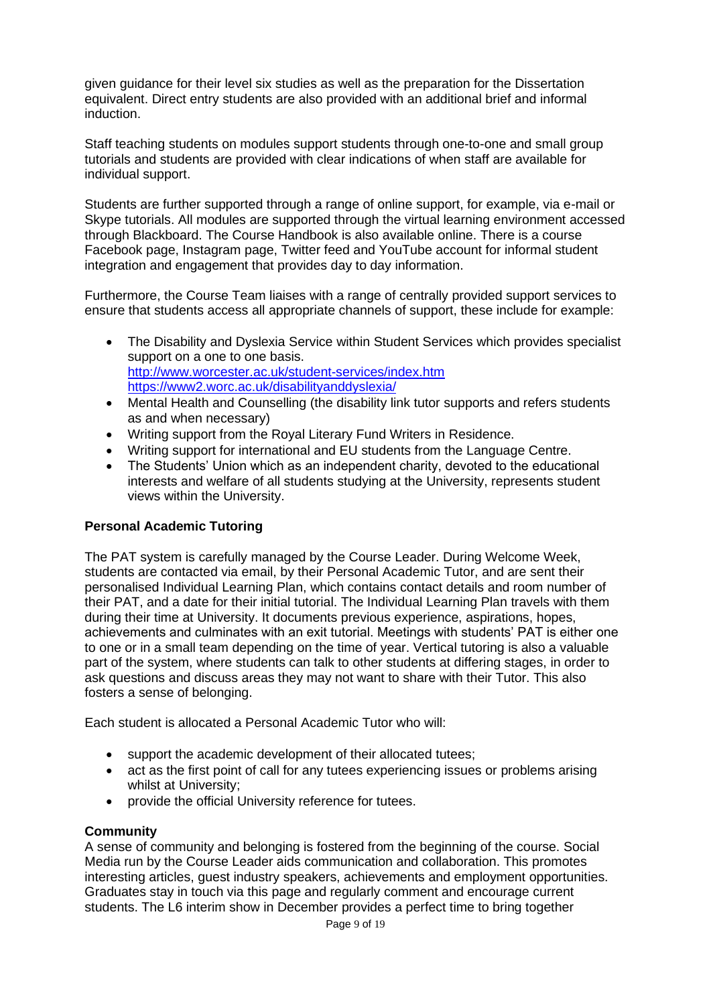given guidance for their level six studies as well as the preparation for the Dissertation equivalent. Direct entry students are also provided with an additional brief and informal induction.

Staff teaching students on modules support students through one-to-one and small group tutorials and students are provided with clear indications of when staff are available for individual support.

Students are further supported through a range of online support, for example, via e-mail or Skype tutorials. All modules are supported through the virtual learning environment accessed through Blackboard. The Course Handbook is also available online. There is a course Facebook page, Instagram page, Twitter feed and YouTube account for informal student integration and engagement that provides day to day information.

Furthermore, the Course Team liaises with a range of centrally provided support services to ensure that students access all appropriate channels of support, these include for example:

- The [Disability and Dyslexia Service](http://www.worcester.ac.uk/equalopps/) within Student Services which provides specialist support on a one to one basis. <http://www.worcester.ac.uk/student-services/index.htm> <https://www2.worc.ac.uk/disabilityanddyslexia/>
- Mental Health and Counselling (the disability link tutor supports and refers students as and when necessary)
- Writing support from the Royal Literary Fund Writers in Residence.
- Writing support for international and EU students from the Language Centre.
- The Students' Union which as an independent charity, devoted to the educational interests and welfare of all students studying at the University, represents student views within the University.

# **Personal Academic Tutoring**

The PAT system is carefully managed by the Course Leader. During Welcome Week, students are contacted via email, by their Personal Academic Tutor, and are sent their personalised Individual Learning Plan, which contains contact details and room number of their PAT, and a date for their initial tutorial. The Individual Learning Plan travels with them during their time at University. It documents previous experience, aspirations, hopes, achievements and culminates with an exit tutorial. Meetings with students' PAT is either one to one or in a small team depending on the time of year. Vertical tutoring is also a valuable part of the system, where students can talk to other students at differing stages, in order to ask questions and discuss areas they may not want to share with their Tutor. This also fosters a sense of belonging.

Each student is allocated a Personal Academic Tutor who will:

- [support the academic development of their allocated tutees;](http://www.worc.ac.uk/academictutor/655.htm)
- [act as the first point of call for any tutees experiencing issues or problems arising](http://www.worc.ac.uk/academictutor/656.htm)  [whilst at University;](http://www.worc.ac.uk/academictutor/656.htm)
- [provide the official University reference for tutees.](http://www.worc.ac.uk/academictutor/657.htm)

## **Community**

A sense of community and belonging is fostered from the beginning of the course. Social Media run by the Course Leader aids communication and collaboration. This promotes interesting articles, guest industry speakers, achievements and employment opportunities. Graduates stay in touch via this page and regularly comment and encourage current students. The L6 interim show in December provides a perfect time to bring together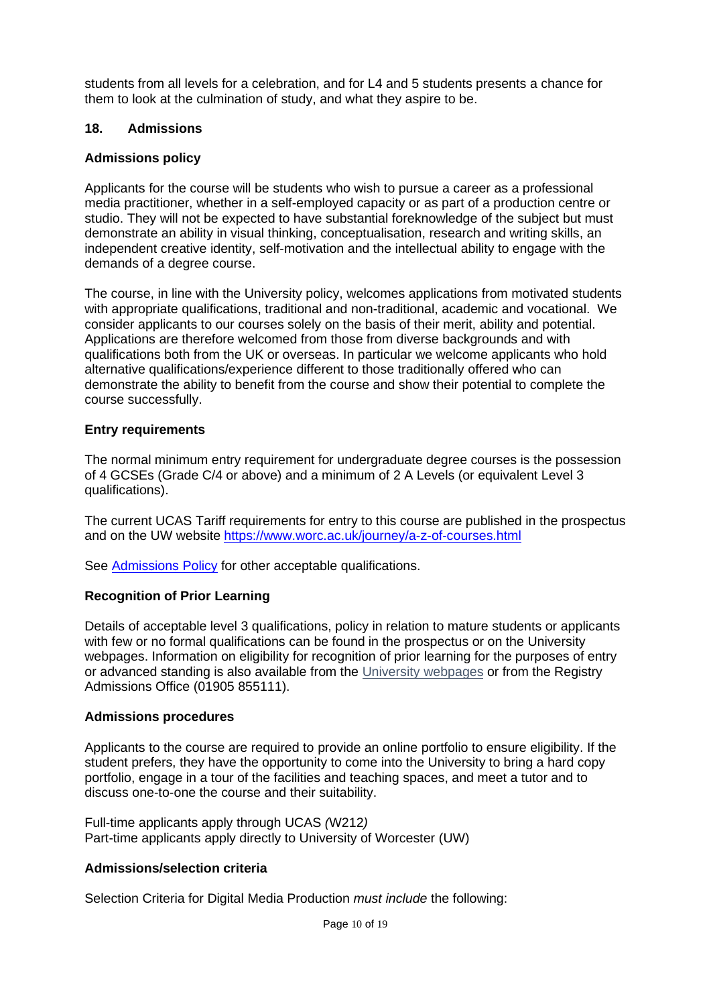students from all levels for a celebration, and for L4 and 5 students presents a chance for them to look at the culmination of study, and what they aspire to be.

## **18. Admissions**

## **Admissions policy**

Applicants for the course will be students who wish to pursue a career as a professional media practitioner, whether in a self-employed capacity or as part of a production centre or studio. They will not be expected to have substantial foreknowledge of the subject but must demonstrate an ability in visual thinking, conceptualisation, research and writing skills, an independent creative identity, self-motivation and the intellectual ability to engage with the demands of a degree course.

The course, in line with the University policy, welcomes applications from motivated students with appropriate qualifications, traditional and non-traditional, academic and vocational. We consider applicants to our courses solely on the basis of their merit, ability and potential. Applications are therefore welcomed from those from diverse backgrounds and with qualifications both from the UK or overseas. In particular we welcome applicants who hold alternative qualifications/experience different to those traditionally offered who can demonstrate the ability to benefit from the course and show their potential to complete the course successfully.

## **Entry requirements**

The normal minimum entry requirement for undergraduate degree courses is the possession of 4 GCSEs (Grade C/4 or above) and a minimum of 2 A Levels (or equivalent Level 3 qualifications).

The current UCAS Tariff requirements for entry to this course are published in the prospectus and on the UW website<https://www.worc.ac.uk/journey/a-z-of-courses.html>

See [Admissions Policy](http://www.worcester.ac.uk/registryservices/documents/AdmissionsPolicy.pdf) for other acceptable qualifications.

# **Recognition of Prior Learning**

Details of acceptable level 3 qualifications, policy in relation to mature students or applicants with few or no formal qualifications can be found in the prospectus or on the University webpages. Information on eligibility for recognition of prior learning for the purposes of entry or advanced standing is also available from the [University webpages](http://www.worcester.ac.uk/registryservices/941.htm) or from the Registry Admissions Office (01905 855111).

## **Admissions procedures**

Applicants to the course are required to provide an online portfolio to ensure eligibility. If the student prefers, they have the opportunity to come into the University to bring a hard copy portfolio, engage in a tour of the facilities and teaching spaces, and meet a tutor and to discuss one-to-one the course and their suitability.

Full-time applicants apply through UCAS *(*W212*)* Part-time applicants apply directly to University of Worcester (UW)

## **Admissions/selection criteria**

Selection Criteria for Digital Media Production *must include* the following: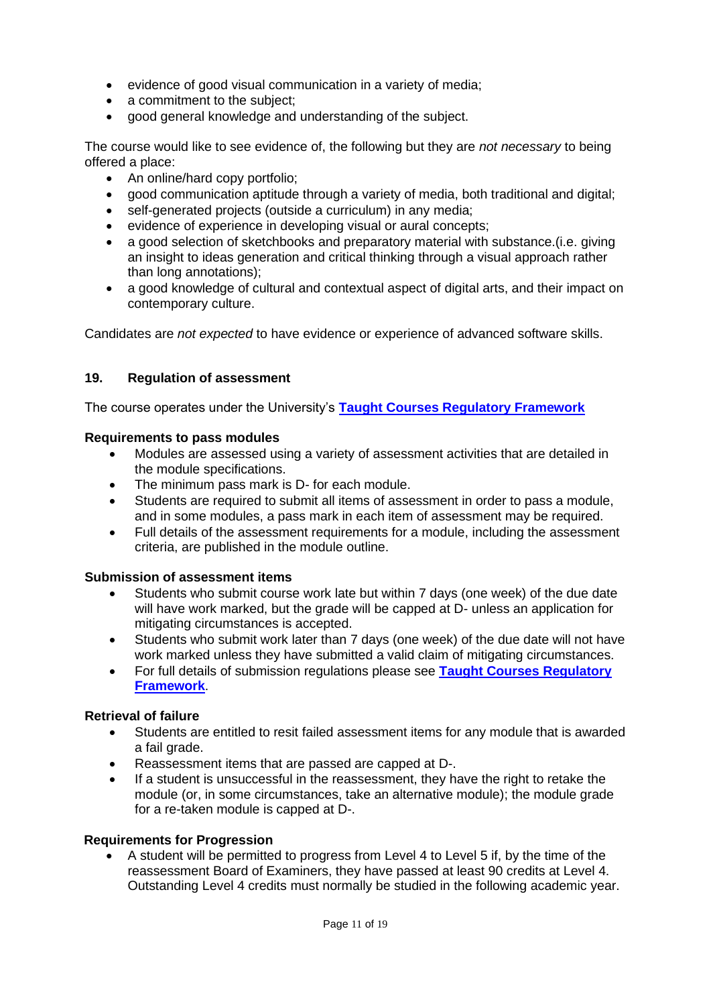- evidence of good visual communication in a variety of media;
- a commitment to the subject;
- good general knowledge and understanding of the subject.

The course would like to see evidence of, the following but they are *not necessary* to being offered a place:

- An online/hard copy portfolio;
- good communication aptitude through a variety of media, both traditional and digital;
- self-generated projects (outside a curriculum) in any media;
- evidence of experience in developing visual or aural concepts;
- a good selection of sketchbooks and preparatory material with substance. (i.e. giving an insight to ideas generation and critical thinking through a visual approach rather than long annotations);
- a good knowledge of cultural and contextual aspect of digital arts, and their impact on contemporary culture.

Candidates are *not expected* to have evidence or experience of advanced software skills.

# **19. Regulation of assessment**

The course operates under the University's **[Taught Courses Regulatory Framework](http://www.worcester.ac.uk/registryservices/documents/TaughtCoursesRegulatoryFramework.pdf)**

# **Requirements to pass modules**

- Modules are assessed using a variety of assessment activities that are detailed in the module specifications.
- The minimum pass mark is D- for each module.
- Students are required to submit all items of assessment in order to pass a module, and in some modules, a pass mark in each item of assessment may be required.
- Full details of the assessment requirements for a module, including the assessment criteria, are published in the module outline.

# **Submission of assessment items**

- Students who submit course work late but within 7 days (one week) of the due date will have work marked, but the grade will be capped at D- unless an application for mitigating circumstances is accepted.
- Students who submit work later than 7 days (one week) of the due date will not have work marked unless they have submitted a valid claim of mitigating circumstances.
- For full details of submission regulations please see **[Taught Courses Regulatory](http://www.worcester.ac.uk/registryservices/documents/TaughtCoursesRegulatoryFramework.pdf)  [Framework](http://www.worcester.ac.uk/registryservices/documents/TaughtCoursesRegulatoryFramework.pdf)**.

# **Retrieval of failure**

- Students are entitled to resit failed assessment items for any module that is awarded a fail grade.
- Reassessment items that are passed are capped at D-.
- If a student is unsuccessful in the reassessment, they have the right to retake the module (or, in some circumstances, take an alternative module); the module grade for a re-taken module is capped at D-.

## **Requirements for Progression**

• A student will be permitted to progress from Level 4 to Level 5 if, by the time of the reassessment Board of Examiners, they have passed at least 90 credits at Level 4. Outstanding Level 4 credits must normally be studied in the following academic year.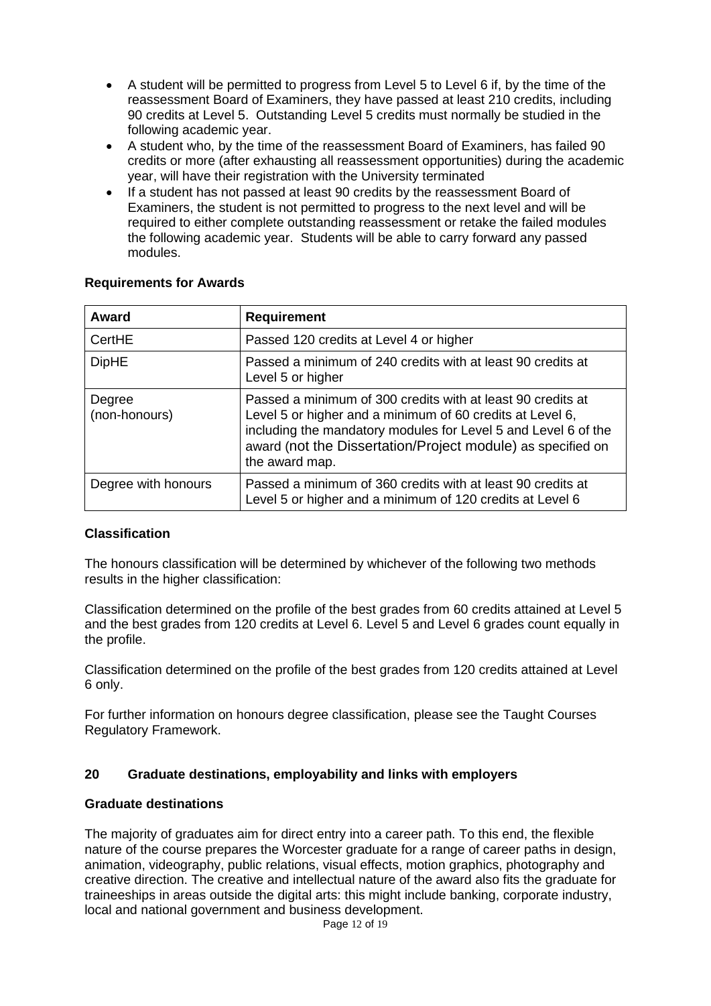- A student will be permitted to progress from Level 5 to Level 6 if, by the time of the reassessment Board of Examiners, they have passed at least 210 credits, including 90 credits at Level 5. Outstanding Level 5 credits must normally be studied in the following academic year.
- A student who, by the time of the reassessment Board of Examiners, has failed 90 credits or more (after exhausting all reassessment opportunities) during the academic year, will have their registration with the University terminated
- If a student has not passed at least 90 credits by the reassessment Board of Examiners, the student is not permitted to progress to the next level and will be required to either complete outstanding reassessment or retake the failed modules the following academic year. Students will be able to carry forward any passed modules.

| Award                   | <b>Requirement</b>                                                                                                                                                                                                                                                          |  |  |  |  |  |
|-------------------------|-----------------------------------------------------------------------------------------------------------------------------------------------------------------------------------------------------------------------------------------------------------------------------|--|--|--|--|--|
| CertHE                  | Passed 120 credits at Level 4 or higher                                                                                                                                                                                                                                     |  |  |  |  |  |
| <b>DipHE</b>            | Passed a minimum of 240 credits with at least 90 credits at<br>Level 5 or higher                                                                                                                                                                                            |  |  |  |  |  |
| Degree<br>(non-honours) | Passed a minimum of 300 credits with at least 90 credits at<br>Level 5 or higher and a minimum of 60 credits at Level 6,<br>including the mandatory modules for Level 5 and Level 6 of the<br>award (not the Dissertation/Project module) as specified on<br>the award map. |  |  |  |  |  |
| Degree with honours     | Passed a minimum of 360 credits with at least 90 credits at<br>Level 5 or higher and a minimum of 120 credits at Level 6                                                                                                                                                    |  |  |  |  |  |

## **Requirements for Awards**

# **Classification**

The honours classification will be determined by whichever of the following two methods results in the higher classification:

Classification determined on the profile of the best grades from 60 credits attained at Level 5 and the best grades from 120 credits at Level 6. Level 5 and Level 6 grades count equally in the profile.

Classification determined on the profile of the best grades from 120 credits attained at Level 6 only.

For further information on honours degree classification, please see the Taught Courses Regulatory Framework.

## **20 Graduate destinations, employability and links with employers**

## **Graduate destinations**

The majority of graduates aim for direct entry into a career path. To this end, the flexible nature of the course prepares the Worcester graduate for a range of career paths in design, animation, videography, public relations, visual effects, motion graphics, photography and creative direction. The creative and intellectual nature of the award also fits the graduate for traineeships in areas outside the digital arts: this might include banking, corporate industry, local and national government and business development.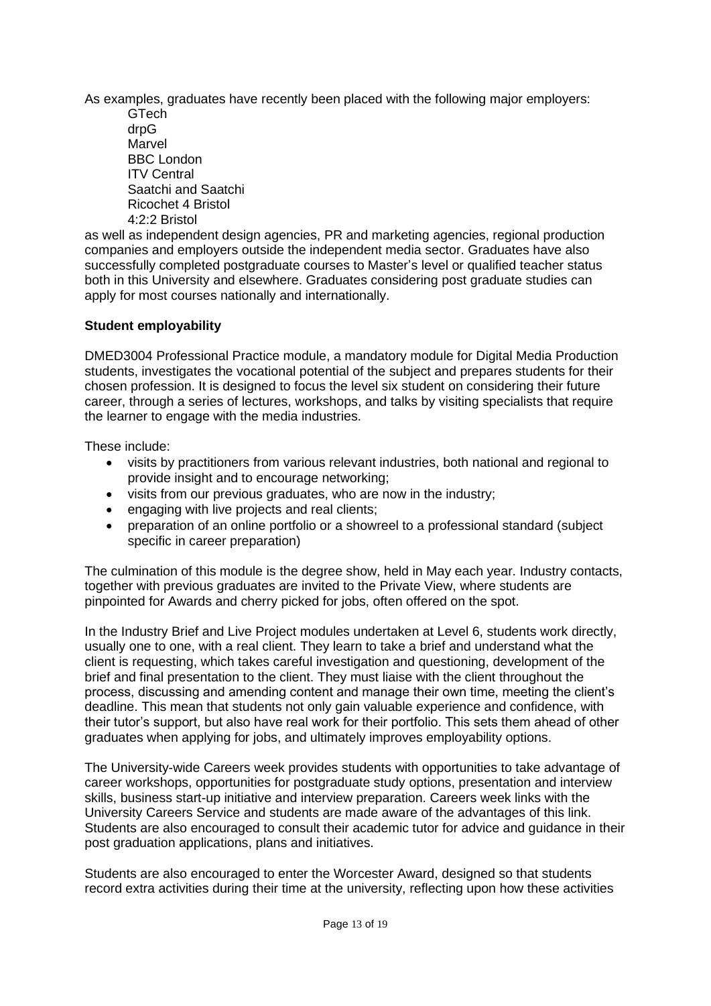As examples, graduates have recently been placed with the following major employers:

GTech drpG Marvel BBC London ITV Central Saatchi and Saatchi Ricochet 4 Bristol 4:2:2 Bristol

as well as independent design agencies, PR and marketing agencies, regional production companies and employers outside the independent media sector. Graduates have also successfully completed postgraduate courses to Master's level or qualified teacher status both in this University and elsewhere. Graduates considering post graduate studies can apply for most courses nationally and internationally.

# **Student employability**

DMED3004 Professional Practice module, a mandatory module for Digital Media Production students, investigates the vocational potential of the subject and prepares students for their chosen profession. It is designed to focus the level six student on considering their future career, through a series of lectures, workshops, and talks by visiting specialists that require the learner to engage with the media industries.

These include:

- visits by practitioners from various relevant industries, both national and regional to provide insight and to encourage networking;
- visits from our previous graduates, who are now in the industry;
- engaging with live projects and real clients;
- preparation of an online portfolio or a showreel to a professional standard (subject specific in career preparation)

The culmination of this module is the degree show, held in May each year. Industry contacts, together with previous graduates are invited to the Private View, where students are pinpointed for Awards and cherry picked for jobs, often offered on the spot.

In the Industry Brief and Live Project modules undertaken at Level 6, students work directly, usually one to one, with a real client. They learn to take a brief and understand what the client is requesting, which takes careful investigation and questioning, development of the brief and final presentation to the client. They must liaise with the client throughout the process, discussing and amending content and manage their own time, meeting the client's deadline. This mean that students not only gain valuable experience and confidence, with their tutor's support, but also have real work for their portfolio. This sets them ahead of other graduates when applying for jobs, and ultimately improves employability options.

The University-wide Careers week provides students with opportunities to take advantage of career workshops, opportunities for postgraduate study options, presentation and interview skills, business start-up initiative and interview preparation. Careers week links with the University Careers Service and students are made aware of the advantages of this link. Students are also encouraged to consult their academic tutor for advice and guidance in their post graduation applications, plans and initiatives.

Students are also encouraged to enter the Worcester Award, designed so that students record extra activities during their time at the university, reflecting upon how these activities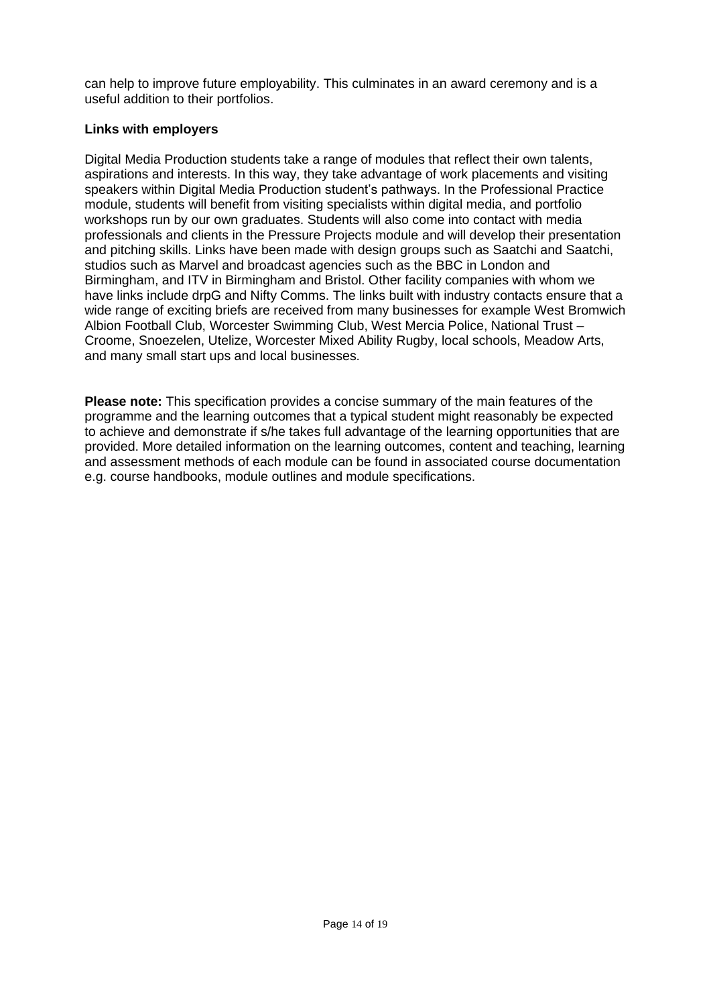can help to improve future employability. This culminates in an award ceremony and is a useful addition to their portfolios.

## **Links with employers**

Digital Media Production students take a range of modules that reflect their own talents, aspirations and interests. In this way, they take advantage of work placements and visiting speakers within Digital Media Production student's pathways. In the Professional Practice module, students will benefit from visiting specialists within digital media, and portfolio workshops run by our own graduates. Students will also come into contact with media professionals and clients in the Pressure Projects module and will develop their presentation and pitching skills. Links have been made with design groups such as Saatchi and Saatchi, studios such as Marvel and broadcast agencies such as the BBC in London and Birmingham, and ITV in Birmingham and Bristol. Other facility companies with whom we have links include drpG and Nifty Comms. The links built with industry contacts ensure that a wide range of exciting briefs are received from many businesses for example West Bromwich Albion Football Club, Worcester Swimming Club, West Mercia Police, National Trust – Croome, Snoezelen, Utelize, Worcester Mixed Ability Rugby, local schools, Meadow Arts, and many small start ups and local businesses.

**Please note:** This specification provides a concise summary of the main features of the programme and the learning outcomes that a typical student might reasonably be expected to achieve and demonstrate if s/he takes full advantage of the learning opportunities that are provided. More detailed information on the learning outcomes, content and teaching, learning and assessment methods of each module can be found in associated course documentation e.g. course handbooks, module outlines and module specifications.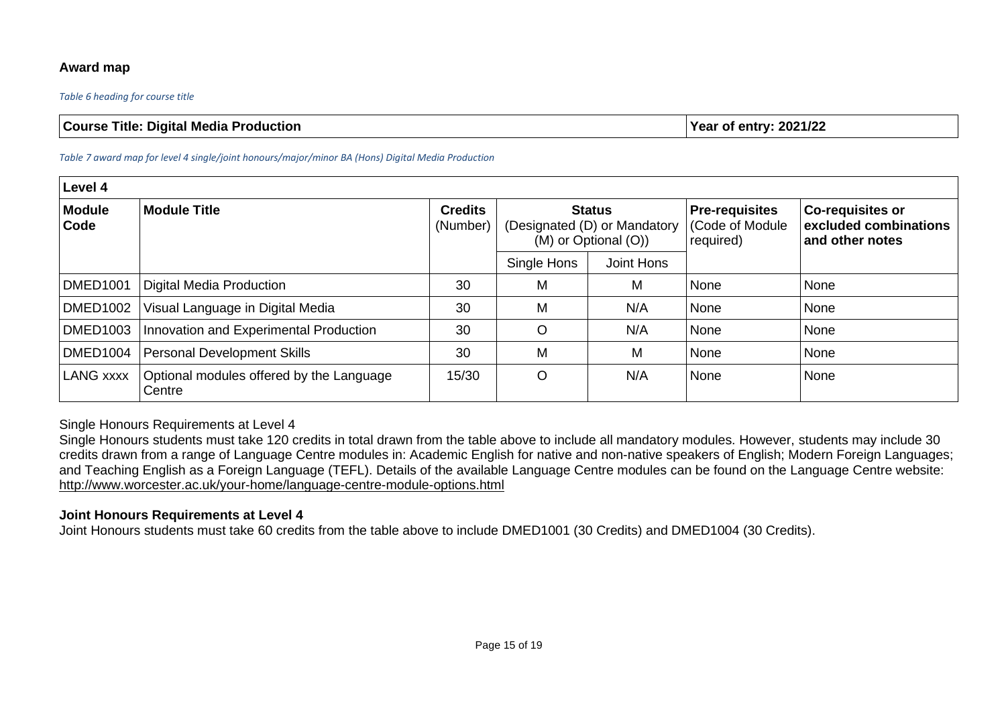## **Award map**

#### *Table 6 heading for course title*

| <b>Course Title: Digital Media Production</b> | Year of entry: $2021/22$ |
|-----------------------------------------------|--------------------------|
|-----------------------------------------------|--------------------------|

#### *Table 7 award map for level 4 single/joint honours/major/minor BA (Hons) Digital Media Production*

| Level 4               |                                                    |                            |                           |                                                                       |                                                        |                                                                     |  |  |
|-----------------------|----------------------------------------------------|----------------------------|---------------------------|-----------------------------------------------------------------------|--------------------------------------------------------|---------------------------------------------------------------------|--|--|
| Module<br><b>Code</b> | <b>Module Title</b>                                | <b>Credits</b><br>(Number) |                           | <b>Status</b><br>(Designated (D) or Mandatory<br>(M) or Optional (O)) | <b>Pre-requisites</b><br>(Code of Module)<br>required) | <b>Co-requisites or</b><br>excluded combinations<br>and other notes |  |  |
|                       |                                                    |                            | Joint Hons<br>Single Hons |                                                                       |                                                        |                                                                     |  |  |
| DMED <sub>1001</sub>  | Digital Media Production                           | 30                         | M                         | M                                                                     | None                                                   | None                                                                |  |  |
| <b>DMED1002</b>       | Visual Language in Digital Media                   | 30                         | M                         | N/A                                                                   | None                                                   | None                                                                |  |  |
| <b>DMED1003</b>       | Innovation and Experimental Production             | 30                         | $\circ$                   | N/A                                                                   | None                                                   | None                                                                |  |  |
| DMED <sub>1004</sub>  | <b>Personal Development Skills</b>                 | 30                         | M                         | M                                                                     | None                                                   | None                                                                |  |  |
| <b>LANG xxxx</b>      | Optional modules offered by the Language<br>Centre | 15/30                      | $\circ$                   | N/A                                                                   | None                                                   | None                                                                |  |  |

## Single Honours Requirements at Level 4

Single Honours students must take 120 credits in total drawn from the table above to include all mandatory modules. However, students may include 30 credits drawn from a range of Language Centre modules in: Academic English for native and non-native speakers of English; Modern Foreign Languages; and Teaching English as a Foreign Language (TEFL). Details of the available Language Centre modules can be found on the Language Centre website: <http://www.worcester.ac.uk/your-home/language-centre-module-options.html>

#### **Joint Honours Requirements at Level 4**

Joint Honours students must take 60 credits from the table above to include DMED1001 (30 Credits) and DMED1004 (30 Credits).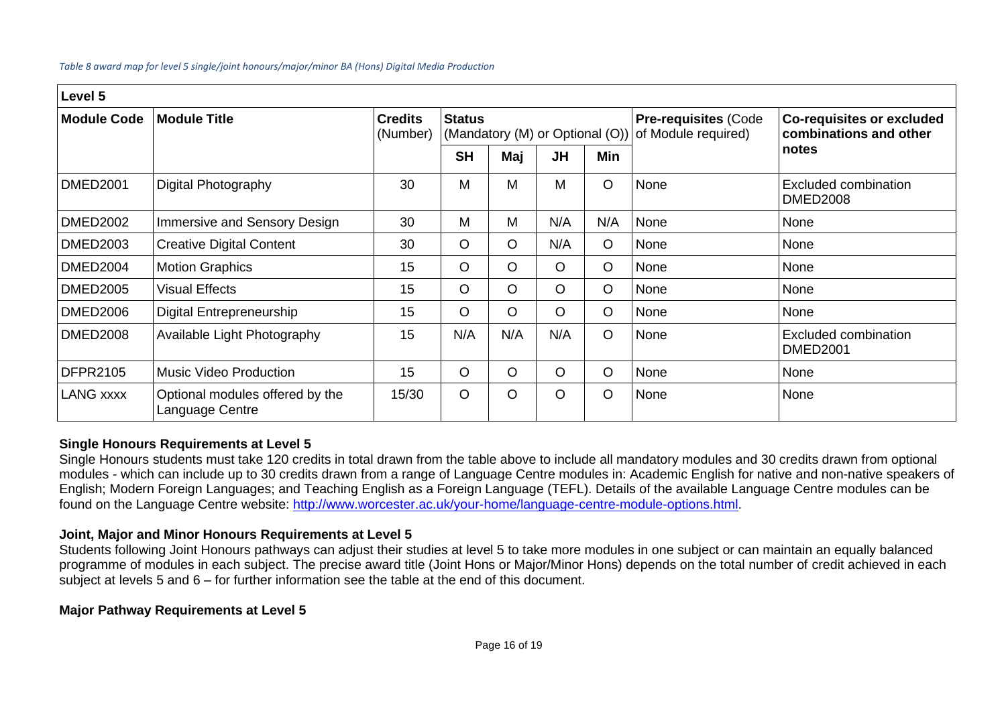#### *Table 8 award map for level 5 single/joint honours/major/minor BA (Hons) Digital Media Production*

| Level 5            |                                                    |                            |               |         |           |         |                                                                                    |                                                            |  |
|--------------------|----------------------------------------------------|----------------------------|---------------|---------|-----------|---------|------------------------------------------------------------------------------------|------------------------------------------------------------|--|
| <b>Module Code</b> | <b>Module Title</b>                                | <b>Credits</b><br>(Number) | <b>Status</b> |         |           |         | <b>Pre-requisites (Code</b><br>(Mandatory (M) or Optional (O)) of Module required) | <b>Co-requisites or excluded</b><br>combinations and other |  |
|                    |                                                    |                            | <b>SH</b>     | Maj     | <b>JH</b> | Min     |                                                                                    | notes                                                      |  |
| <b>DMED2001</b>    | Digital Photography                                | 30                         | M             | М       | M         | $\circ$ | None                                                                               | Excluded combination<br><b>DMED2008</b>                    |  |
| <b>DMED2002</b>    | Immersive and Sensory Design                       | 30                         | M             | М       | N/A       | N/A     | None                                                                               | None                                                       |  |
| <b>DMED2003</b>    | <b>Creative Digital Content</b>                    | 30                         | $\circ$       | $\circ$ | N/A       | $\circ$ | None                                                                               | None                                                       |  |
| <b>DMED2004</b>    | <b>Motion Graphics</b>                             | 15                         | $\circ$       | $\circ$ | $\circ$   | $\circ$ | None                                                                               | None                                                       |  |
| <b>DMED2005</b>    | <b>Visual Effects</b>                              | 15                         | $\circ$       | $\circ$ | $\Omega$  | $\circ$ | None                                                                               | None                                                       |  |
| <b>DMED2006</b>    | <b>Digital Entrepreneurship</b>                    | 15                         | $\circ$       | $\circ$ | $\circ$   | $\circ$ | None                                                                               | None                                                       |  |
| <b>DMED2008</b>    | Available Light Photography                        | 15                         | N/A           | N/A     | N/A       | $\circ$ | None                                                                               | Excluded combination<br><b>DMED2001</b>                    |  |
| <b>DFPR2105</b>    | <b>Music Video Production</b>                      | 15                         | $\circ$       | $\circ$ | $\circ$   | $\circ$ | None                                                                               | None                                                       |  |
| <b>LANG XXXX</b>   | Optional modules offered by the<br>Language Centre | 15/30                      | $\circ$       | $\circ$ | $\circ$   | $\circ$ | None                                                                               | None                                                       |  |

## **Single Honours Requirements at Level 5**

Single Honours students must take 120 credits in total drawn from the table above to include all mandatory modules and 30 credits drawn from optional modules - which can include up to 30 credits drawn from a range of Language Centre modules in: Academic English for native and non-native speakers of English; Modern Foreign Languages; and Teaching English as a Foreign Language (TEFL). Details of the available Language Centre modules can be found on the Language Centre website: [http://www.worcester.ac.uk/your-home/language-centre-module-options.html.](http://www.worcester.ac.uk/your-home/language-centre-module-options.html)

# **Joint, Major and Minor Honours Requirements at Level 5**

Students following Joint Honours pathways can adjust their studies at level 5 to take more modules in one subject or can maintain an equally balanced programme of modules in each subject. The precise award title (Joint Hons or Major/Minor Hons) depends on the total number of credit achieved in each subject at levels 5 and 6 – for further information see the table at the end of this document.

## **Major Pathway Requirements at Level 5**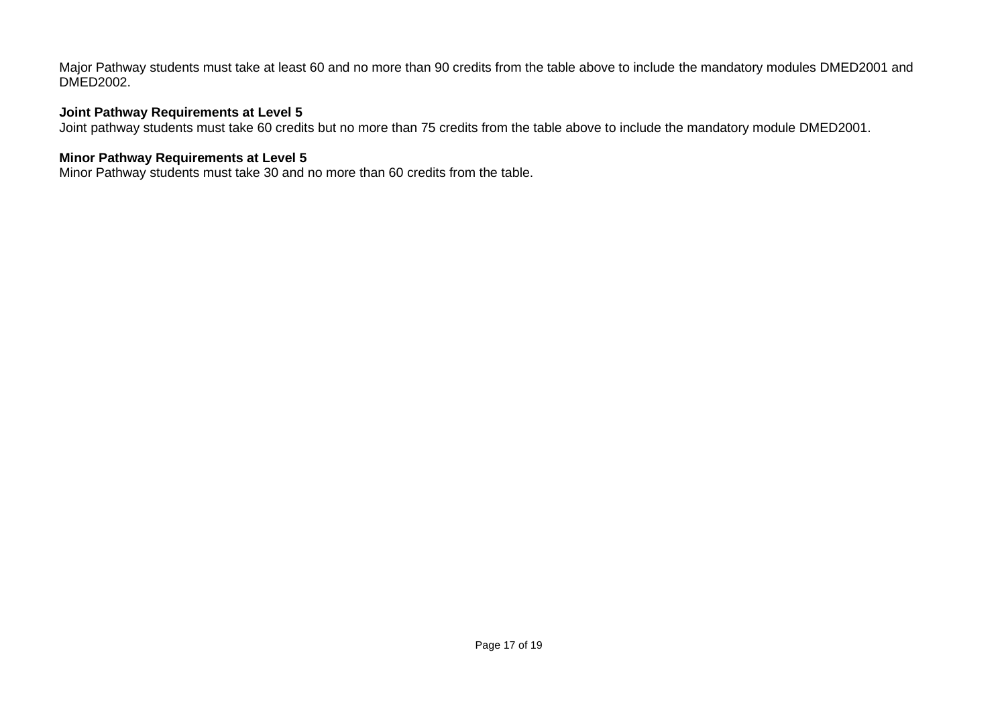Major Pathway students must take at least 60 and no more than 90 credits from the table above to include the mandatory modules DMED2001 and DMED2002.

# **Joint Pathway Requirements at Level 5**

Joint pathway students must take 60 credits but no more than 75 credits from the table above to include the mandatory module DMED2001.

## **Minor Pathway Requirements at Level 5**

Minor Pathway students must take 30 and no more than 60 credits from the table.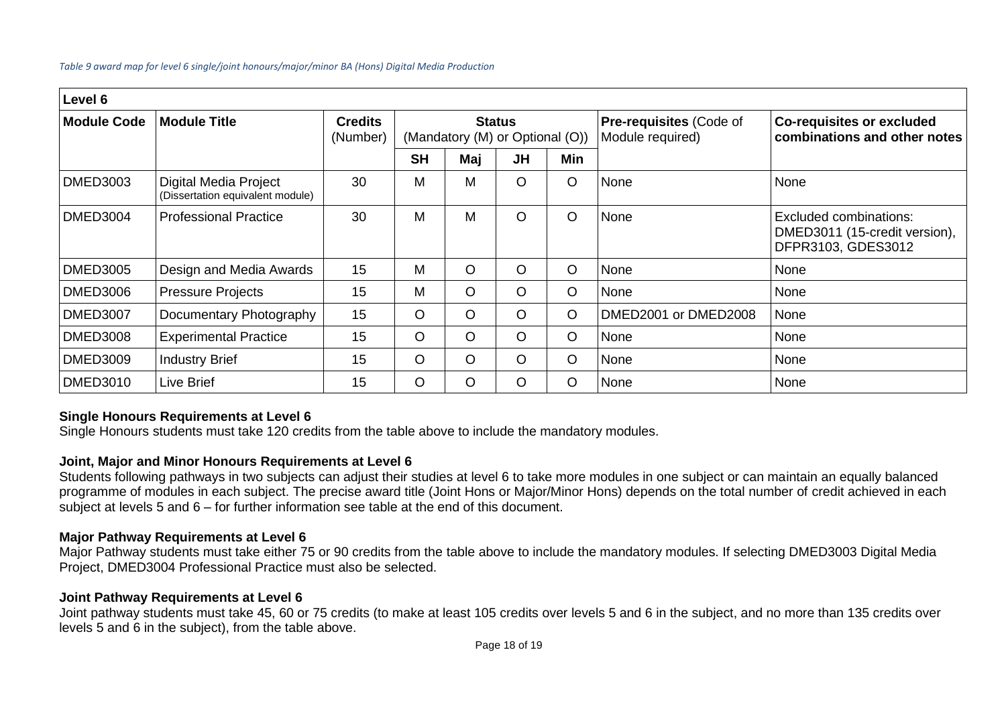#### *Table 9 award map for level 6 single/joint honours/major/minor BA (Hons) Digital Media Production*

| Level 6            |                                                           |                            |                                                  |     |           |         |                                                    |                                                                               |  |
|--------------------|-----------------------------------------------------------|----------------------------|--------------------------------------------------|-----|-----------|---------|----------------------------------------------------|-------------------------------------------------------------------------------|--|
| <b>Module Code</b> | <b>Module Title</b>                                       | <b>Credits</b><br>(Number) | <b>Status</b><br>(Mandatory (M) or Optional (O)) |     |           |         | <b>Pre-requisites (Code of</b><br>Module required) | <b>Co-requisites or excluded</b><br>combinations and other notes              |  |
|                    |                                                           |                            | <b>SH</b>                                        | Maj | <b>JH</b> | Min     |                                                    |                                                                               |  |
| <b>DMED3003</b>    | Digital Media Project<br>(Dissertation equivalent module) | 30                         | M                                                | M   | O         | $\circ$ | None                                               | None                                                                          |  |
| <b>DMED3004</b>    | <b>Professional Practice</b>                              | 30                         | M                                                | M   | O         | $\circ$ | None                                               | Excluded combinations:<br>DMED3011 (15-credit version),<br>DFPR3103, GDES3012 |  |
| <b>DMED3005</b>    | Design and Media Awards                                   | 15                         | м                                                | O   | O         | $\circ$ | None                                               | None                                                                          |  |
| <b>DMED3006</b>    | <b>Pressure Projects</b>                                  | 15                         | M                                                | O   | O         | $\circ$ | None                                               | None                                                                          |  |
| <b>DMED3007</b>    | Documentary Photography                                   | 15                         | $\circ$                                          | O   | O         | $\circ$ | DMED2001 or DMED2008                               | None                                                                          |  |
| <b>DMED3008</b>    | <b>Experimental Practice</b>                              | 15                         | O                                                | O   | O         | $\circ$ | None                                               | None                                                                          |  |
| <b>DMED3009</b>    | <b>Industry Brief</b>                                     | 15                         | $\circ$                                          | O   | O         | $\circ$ | None                                               | None                                                                          |  |
| <b>DMED3010</b>    | Live Brief                                                | 15                         | O                                                | O   | O         | $\circ$ | None                                               | None                                                                          |  |

## **Single Honours Requirements at Level 6**

Single Honours students must take 120 credits from the table above to include the mandatory modules.

## **Joint, Major and Minor Honours Requirements at Level 6**

Students following pathways in two subjects can adjust their studies at level 6 to take more modules in one subject or can maintain an equally balanced programme of modules in each subject. The precise award title (Joint Hons or Major/Minor Hons) depends on the total number of credit achieved in each subject at levels 5 and 6 – for further information see table at the end of this document.

## **Major Pathway Requirements at Level 6**

Major Pathway students must take either 75 or 90 credits from the table above to include the mandatory modules. If selecting DMED3003 Digital Media Project, DMED3004 Professional Practice must also be selected.

#### **Joint Pathway Requirements at Level 6**

Joint pathway students must take 45, 60 or 75 credits (to make at least 105 credits over levels 5 and 6 in the subject, and no more than 135 credits over levels 5 and 6 in the subject), from the table above.